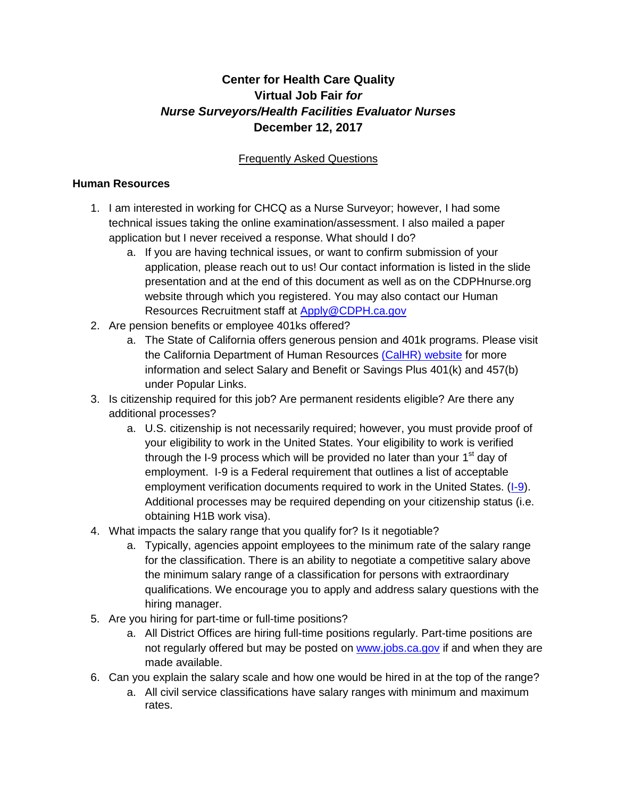# **Center for Health Care Quality Virtual Job Fair** *for Nurse Surveyors/Health Facilities Evaluator Nurses* **December 12, 2017**

### Frequently Asked Questions

#### **Human Resources**

- 1. I am interested in working for CHCQ as a Nurse Surveyor; however, I had some technical issues taking the online examination/assessment. I also mailed a paper application but I never received a response. What should I do?
	- a. If you are having technical issues, or want to confirm submission of your application, please reach out to us! Our contact information is listed in the slide presentation and at the end of this document as well as on the CDPHnurse.org website through which you registered. You may also contact our Human Resources Recruitment staff at [Apply@CDPH.ca.gov](mailto:Apply@CDPH.ca.gov)
- 2. Are pension benefits or employee 401ks offered?
	- a. The State of California offers generous pension and 401k programs. Please visit the California Department of Human Resources [\(CalHR\) website](http://www.calhr.ca.gov/employees/Pages/main.aspx) for more information and select Salary and Benefit or Savings Plus 401(k) and 457(b) under Popular Links.
- 3. Is citizenship required for this job? Are permanent residents eligible? Are there any additional processes?
	- a. U.S. citizenship is not necessarily required; however, you must provide proof of your eligibility to work in the United States. Your eligibility to work is verified through the I-9 process which will be provided no later than your  $1<sup>st</sup>$  day of employment. I-9 is a Federal requirement that outlines a list of acceptable employment verification documents required to work in the United States.  $(1-9)$ . Additional processes may be required depending on your citizenship status (i.e. obtaining H1B work visa).
- 4. What impacts the salary range that you qualify for? Is it negotiable?
	- a. Typically, agencies appoint employees to the minimum rate of the salary range for the classification. There is an ability to negotiate a competitive salary above the minimum salary range of a classification for persons with extraordinary qualifications. We encourage you to apply and address salary questions with the hiring manager.
- 5. Are you hiring for part-time or full-time positions?
	- a. All District Offices are hiring full-time positions regularly. Part-time positions are not regularly offered but may be posted on [www.jobs.ca.gov](http://www.jobs.ca.gov/) if and when they are made available.
- 6. Can you explain the salary scale and how one would be hired in at the top of the range?
	- a. All civil service classifications have salary ranges with minimum and maximum rates.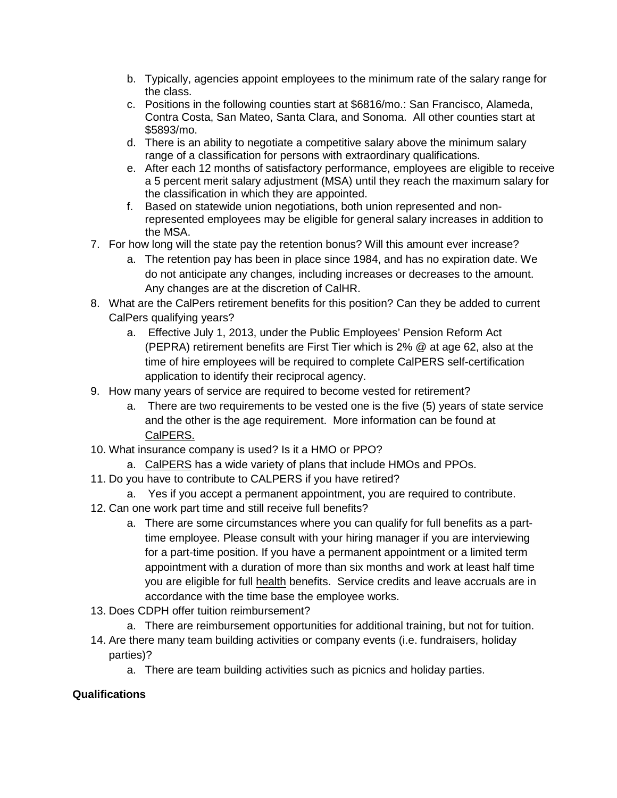- b. Typically, agencies appoint employees to the minimum rate of the salary range for the class.
- c. Positions in the following counties start at \$6816/mo.: San Francisco, Alameda, Contra Costa, San Mateo, Santa Clara, and Sonoma. All other counties start at \$5893/mo.
- d. There is an ability to negotiate a competitive salary above the minimum salary range of a classification for persons with extraordinary qualifications.
- e. After each 12 months of satisfactory performance, employees are eligible to receive a 5 percent merit salary adjustment (MSA) until they reach the maximum salary for the classification in which they are appointed.
- f. Based on statewide union negotiations, both union represented and nonrepresented employees may be eligible for general salary increases in addition to the MSA.
- 7. For how long will the state pay the retention bonus? Will this amount ever increase?
	- a. The retention pay has been in place since 1984, and has no expiration date. We do not anticipate any changes, including increases or decreases to the amount. Any changes are at the discretion of CalHR.
- 8. What are the CalPers retirement benefits for this position? Can they be added to current CalPers qualifying years?
	- a. Effective July 1, 2013, under the Public Employees' Pension Reform Act (PEPRA) retirement benefits are First Tier which is 2% @ at age 62, also at the time of hire employees will be required to complete CalPERS self-certification application to identify their reciprocal agency.
- 9. How many years of service are required to become vested for retirement?
	- a. There are two requirements to be vested one is the five (5) years of state service and the other is the age requirement. More information can be found at [CalPERS.](https://www.calpers.ca.gov/docs/forms-publications/planning-service-retirement.pdf)
- 10. What insurance company is used? Is it a HMO or PPO?
	- a. [CalPERS](https://www.calpers.ca.gov/page/active-members/health-benefits/plans-and-rates) has a wide variety of plans that include HMOs and PPOs.
- 11. Do you have to contribute to CALPERS if you have retired?
	- a. Yes if you accept a permanent appointment, you are required to contribute.
- 12. Can one work part time and still receive full benefits?
	- a. There are some circumstances where you can qualify for full benefits as a parttime employee. Please consult with your hiring manager if you are interviewing for a part-time position. If you have a permanent appointment or a limited term appointment with a duration of more than six months and work at least half time you are eligible for full health benefits. Service credits and leave accruals are in accordance with the time base the employee works.
- 13. Does CDPH offer tuition reimbursement?
	- a. There are reimbursement opportunities for additional training, but not for tuition.
- 14. Are there many team building activities or company events (i.e. fundraisers, holiday parties)?
	- a. There are team building activities such as picnics and holiday parties.

### **Qualifications**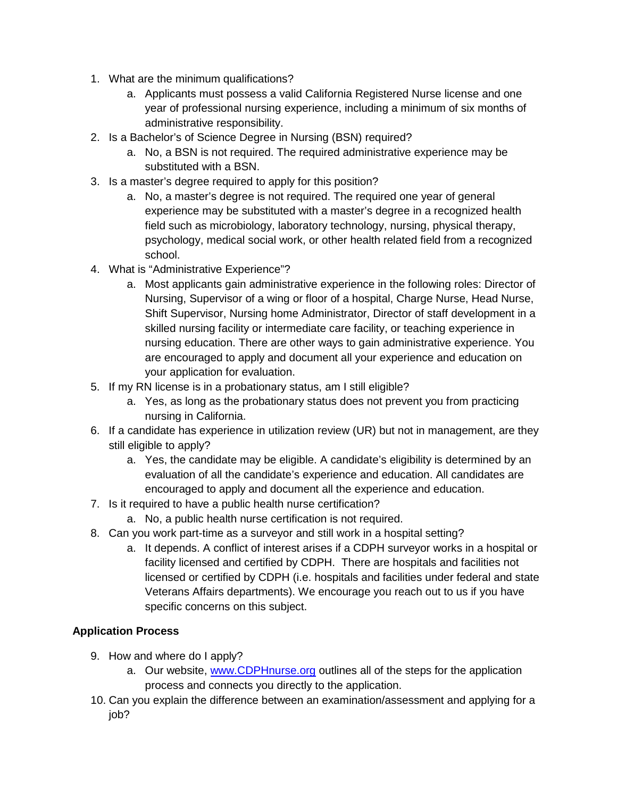- 1. What are the minimum qualifications?
	- a. Applicants must possess a valid California Registered Nurse license and one year of professional nursing experience, including a minimum of six months of administrative responsibility.
- 2. Is a Bachelor's of Science Degree in Nursing (BSN) required?
	- a. No, a BSN is not required. The required administrative experience may be substituted with a BSN.
- 3. Is a master's degree required to apply for this position?
	- a. No, a master's degree is not required. The required one year of general experience may be substituted with a master's degree in a recognized health field such as microbiology, laboratory technology, nursing, physical therapy, psychology, medical social work, or other health related field from a recognized school.
- 4. What is "Administrative Experience"?
	- a. Most applicants gain administrative experience in the following roles: Director of Nursing, Supervisor of a wing or floor of a hospital, Charge Nurse, Head Nurse, Shift Supervisor, Nursing home Administrator, Director of staff development in a skilled nursing facility or intermediate care facility, or teaching experience in nursing education. There are other ways to gain administrative experience. You are encouraged to apply and document all your experience and education on your application for evaluation.
- 5. If my RN license is in a probationary status, am I still eligible?
	- a. Yes, as long as the probationary status does not prevent you from practicing nursing in California.
- 6. If a candidate has experience in utilization review (UR) but not in management, are they still eligible to apply?
	- a. Yes, the candidate may be eligible. A candidate's eligibility is determined by an evaluation of all the candidate's experience and education. All candidates are encouraged to apply and document all the experience and education.
- 7. Is it required to have a public health nurse certification?
	- a. No, a public health nurse certification is not required.
- 8. Can you work part-time as a surveyor and still work in a hospital setting?
	- a. It depends. A conflict of interest arises if a CDPH surveyor works in a hospital or facility licensed and certified by CDPH. There are hospitals and facilities not licensed or certified by CDPH (i.e. hospitals and facilities under federal and state Veterans Affairs departments). We encourage you reach out to us if you have specific concerns on this subject.

## **Application Process**

- 9. How and where do I apply?
	- a. Our website, [www.CDPHnurse.org](http://www.cdphnurse.org/) outlines all of the steps for the application process and connects you directly to the application.
- 10. Can you explain the difference between an examination/assessment and applying for a job?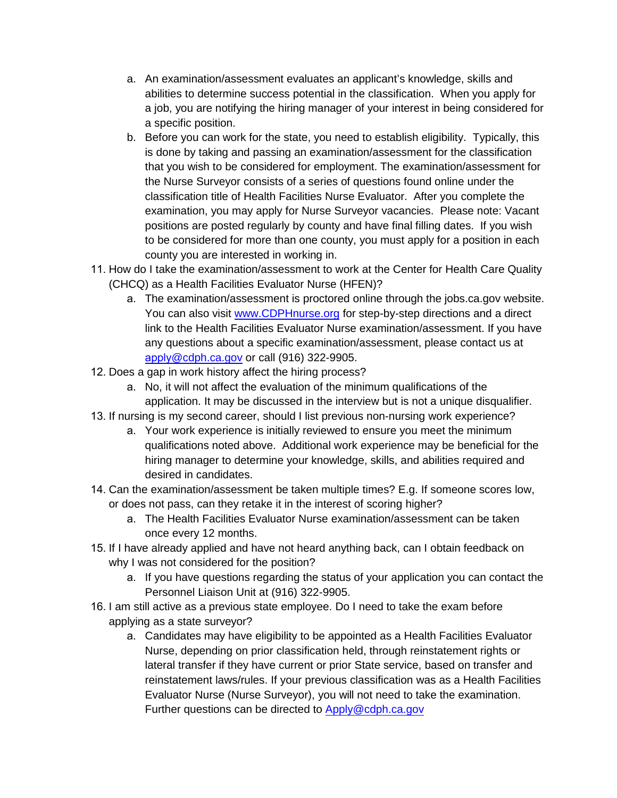- a. An examination/assessment evaluates an applicant's knowledge, skills and abilities to determine success potential in the classification. When you apply for a job, you are notifying the hiring manager of your interest in being considered for a specific position.
- b. Before you can work for the state, you need to establish eligibility. Typically, this is done by taking and passing an examination/assessment for the classification that you wish to be considered for employment. The examination/assessment for the Nurse Surveyor consists of a series of questions found online under the classification title of Health Facilities Nurse Evaluator. After you complete the examination, you may apply for Nurse Surveyor vacancies. Please note: Vacant positions are posted regularly by county and have final filling dates. If you wish to be considered for more than one county, you must apply for a position in each county you are interested in working in.
- 11. How do I take the examination/assessment to work at the Center for Health Care Quality (CHCQ) as a Health Facilities Evaluator Nurse (HFEN)?
	- a. The examination/assessment is proctored online through the jobs.ca.gov website. You can also visit www.C[DPHnurse.org](http://www.cdphnurse.org/) for step-by-step directions and a direct link to the Health Facilities Evaluator Nurse examination/assessment. If you have any questions about a specific examination/assessment, please contact us at apply@cdph.ca.gov [or call \(916\) 322-9905.](mailto:CDPHPLURecruitment@cdph.ca.gov)
- 12. Does a gap in work history affect the hiring process?
	- a. No, it will not affect the evaluation of the minimum qualifications of the application. It may be discussed in the interview but is not a unique disqualifier.
- 13. If nursing is my second career, should I list previous non-nursing work experience?
	- a. Your work experience is initially reviewed to ensure you meet the minimum qualifications noted above. Additional work experience may be beneficial for the hiring manager to determine your knowledge, skills, and abilities required and desired in candidates.
- 14. Can the examination/assessment be taken multiple times? E.g. If someone scores low, or does not pass, can they retake it in the interest of scoring higher?
	- a. The Health Facilities Evaluator Nurse examination/assessment can be taken once every 12 months.
- 15. If I have already applied and have not heard anything back, can I obtain feedback on why I was not considered for the position?
	- a. If you have questions regarding the status of your application you can contact the Personnel Liaison Unit at (916) 322-9905.
- 16. I am still active as a previous state employee. Do I need to take the exam before applying as a state surveyor?
	- a. Candidates may have eligibility to be appointed as a Health Facilities Evaluator Nurse, depending on prior classification held, through reinstatement rights or lateral transfer if they have current or prior State service, based on transfer and reinstatement laws/rules. If your previous classification was as a Health Facilities Evaluator Nurse (Nurse Surveyor), you will not need to take the examination. Further questions can be directed to **Apply@cdph.ca.gov**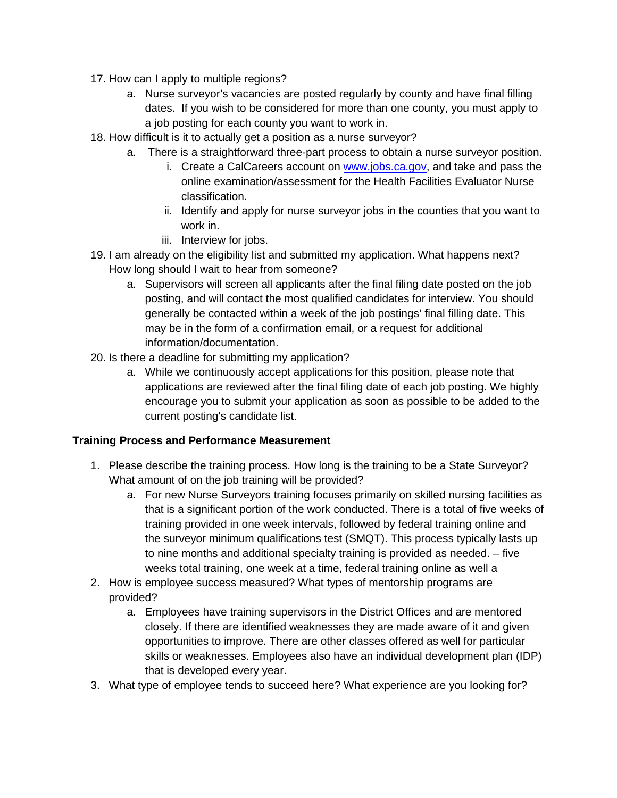- 17. How can I apply to multiple regions?
	- a. Nurse surveyor's vacancies are posted regularly by county and have final filling dates. If you wish to be considered for more than one county, you must apply to a job posting for each county you want to work in.
- 18. How difficult is it to actually get a position as a nurse surveyor?
	- a. There is a straightforward three-part process to obtain a nurse surveyor position.
		- i. Create a CalCareers account on [www.jobs.ca.gov,](http://www.jobs.ca.gov/) and take and pass the online examination/assessment for the Health Facilities Evaluator Nurse classification.
		- ii. Identify and apply for nurse surveyor jobs in the counties that you want to work in.
		- iii. Interview for jobs.
- 19. I am already on the eligibility list and submitted my application. What happens next? How long should I wait to hear from someone?
	- a. Supervisors will screen all applicants after the final filing date posted on the job posting, and will contact the most qualified candidates for interview. You should generally be contacted within a week of the job postings' final filling date. This may be in the form of a confirmation email, or a request for additional information/documentation.
- 20. Is there a deadline for submitting my application?
	- a. While we continuously accept applications for this position, please note that applications are reviewed after the final filing date of each job posting. We highly encourage you to submit your application as soon as possible to be added to the current posting's candidate list.

#### **Training Process and Performance Measurement**

- 1. Please describe the training process. How long is the training to be a State Surveyor? What amount of on the job training will be provided?
	- a. For new Nurse Surveyors training focuses primarily on skilled nursing facilities as that is a significant portion of the work conducted. There is a total of five weeks of training provided in one week intervals, followed by federal training online and the surveyor minimum qualifications test (SMQT). This process typically lasts up to nine months and additional specialty training is provided as needed. – five weeks total training, one week at a time, federal training online as well a
- 2. How is employee success measured? What types of mentorship programs are provided?
	- a. Employees have training supervisors in the District Offices and are mentored closely. If there are identified weaknesses they are made aware of it and given opportunities to improve. There are other classes offered as well for particular skills or weaknesses. Employees also have an individual development plan (IDP) that is developed every year.
- 3. What type of employee tends to succeed here? What experience are you looking for?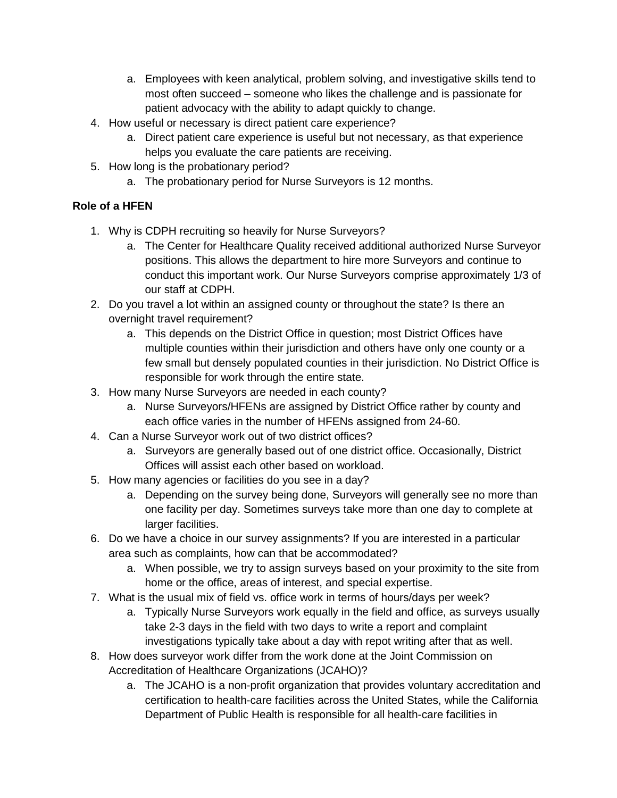- a. Employees with keen analytical, problem solving, and investigative skills tend to most often succeed – someone who likes the challenge and is passionate for patient advocacy with the ability to adapt quickly to change.
- 4. How useful or necessary is direct patient care experience?
	- a. Direct patient care experience is useful but not necessary, as that experience helps you evaluate the care patients are receiving.
- 5. How long is the probationary period?
	- a. The probationary period for Nurse Surveyors is 12 months.

## **Role of a HFEN**

- 1. Why is CDPH recruiting so heavily for Nurse Surveyors?
	- a. The Center for Healthcare Quality received additional authorized Nurse Surveyor positions. This allows the department to hire more Surveyors and continue to conduct this important work. Our Nurse Surveyors comprise approximately 1/3 of our staff at CDPH.
- 2. Do you travel a lot within an assigned county or throughout the state? Is there an overnight travel requirement?
	- a. This depends on the District Office in question; most District Offices have multiple counties within their jurisdiction and others have only one county or a few small but densely populated counties in their jurisdiction. No District Office is responsible for work through the entire state.
- 3. How many Nurse Surveyors are needed in each county?
	- a. Nurse Surveyors/HFENs are assigned by District Office rather by county and each office varies in the number of HFENs assigned from 24-60.
- 4. Can a Nurse Surveyor work out of two district offices?
	- a. Surveyors are generally based out of one district office. Occasionally, District Offices will assist each other based on workload.
- 5. How many agencies or facilities do you see in a day?
	- a. Depending on the survey being done, Surveyors will generally see no more than one facility per day. Sometimes surveys take more than one day to complete at larger facilities.
- 6. Do we have a choice in our survey assignments? If you are interested in a particular area such as complaints, how can that be accommodated?
	- a. When possible, we try to assign surveys based on your proximity to the site from home or the office, areas of interest, and special expertise.
- 7. What is the usual mix of field vs. office work in terms of hours/days per week?
	- a. Typically Nurse Surveyors work equally in the field and office, as surveys usually take 2-3 days in the field with two days to write a report and complaint investigations typically take about a day with repot writing after that as well.
- 8. How does surveyor work differ from the work done at the Joint Commission on Accreditation of Healthcare Organizations (JCAHO)?
	- a. The JCAHO is a non-profit organization that provides voluntary accreditation and certification to health-care facilities across the United States, while the California Department of Public Health is responsible for all health-care facilities in